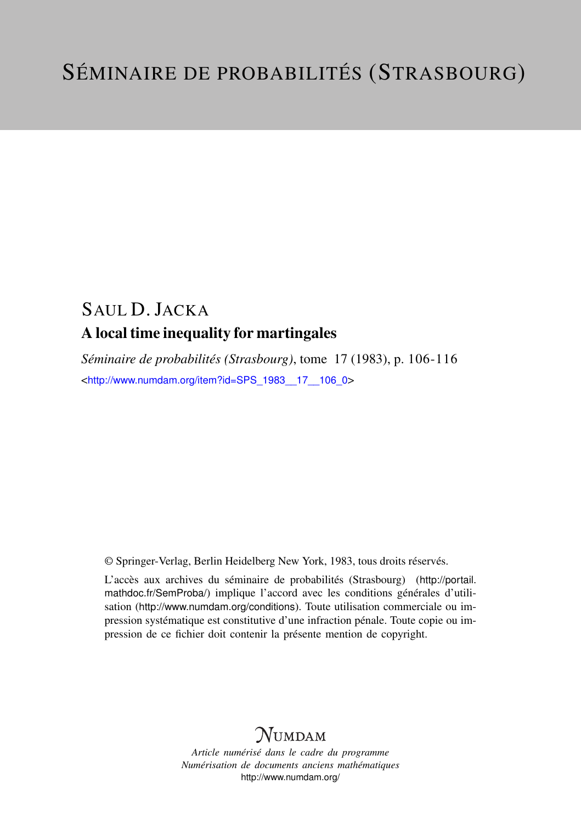## SAUL D. JACKA A local time inequality for martingales

*Séminaire de probabilités (Strasbourg)*, tome 17 (1983), p. 106-116 <[http://www.numdam.org/item?id=SPS\\_1983\\_\\_17\\_\\_106\\_0](http://www.numdam.org/item?id=SPS_1983__17__106_0)>

© Springer-Verlag, Berlin Heidelberg New York, 1983, tous droits réservés.

L'accès aux archives du séminaire de probabilités (Strasbourg) ([http://portail.](http://portail.mathdoc.fr/SemProba/) [mathdoc.fr/SemProba/](http://portail.mathdoc.fr/SemProba/)) implique l'accord avec les conditions générales d'utilisation (<http://www.numdam.org/conditions>). Toute utilisation commerciale ou impression systématique est constitutive d'une infraction pénale. Toute copie ou impression de ce fichier doit contenir la présente mention de copyright.

# **NUMDAM**

*Article numérisé dans le cadre du programme Numérisation de documents anciens mathématiques* <http://www.numdam.org/>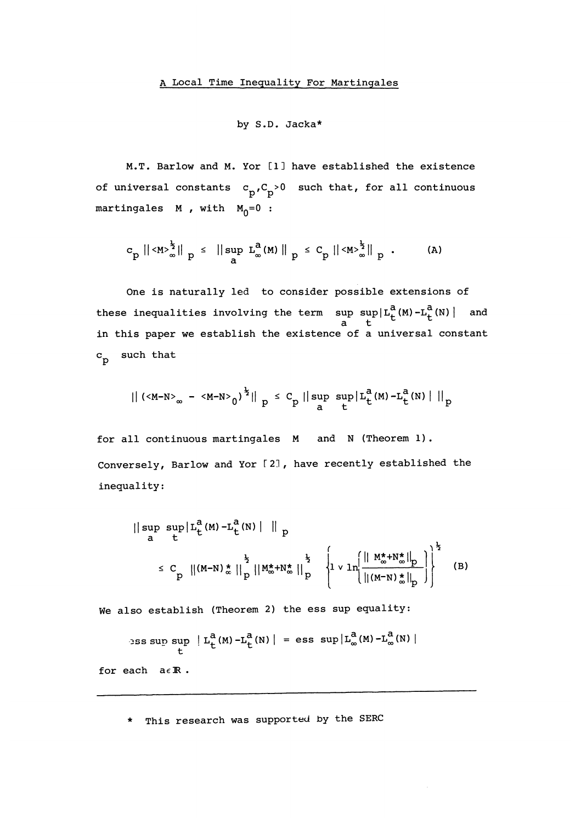## by S.D. Jacka\*

M.T. Barlow and M. Yor C1J have established the existence of universal constants  $c_p, C_p > 0$  such that, for all continuous martingales  $M$ , with  $M_0=0$ :

$$
c_p \| \langle M \rangle_{\infty}^{\frac{1}{2}} \|_{p} \leq \| \sup_{a} L_{\infty}^{a}(M) \|_{p} \leq C_p \| \langle M \rangle_{\infty}^{\frac{1}{2}} \|_{p} . \qquad (A)
$$

One is naturally led to consider possible extensions of these inequalities involving the term  $\sup_{a} \sup_{t} |L^{\alpha}_{t}(M) - L^{\alpha}_{t}(N)|$  and in this paper we establish the existence of a universal constant  $c_p$  such that

$$
\|\left(\langle M-N\rangle_{\infty} - \langle M-N\rangle_{0}\right)^{\frac{1}{2}}\|_{p} \leq C_{p} \|\sup_{a} \sup_{t} |L_{t}^{a}(M) - L_{t}^{a}(N)| \|_{p}
$$

for all continuous martingales M and N (Theorem 1). Conversely, Barlow and Yor [2], have recently established the inequality:

$$
|| \sup_{a} \sup_{t} |L_{t}^{a}(M) - L_{t}^{a}(N) | \bigg\|_{p}
$$
  
\n
$$
\leq C_{p} ||(M-N) \cdot \frac{1}{\infty} ||_{p}^{3} ||M_{\infty}^{*} + N_{\infty}^{*} ||_{p}^{3} \left\{ 1 \vee \ln \left( \frac{||M_{\infty}^{*} + N_{\infty}^{*}||_{p}}{||(M-N) \cdot \frac{1}{\infty}||_{p}} \right) \right\}^{2}
$$
(B)

We also establish (Theorem 2) the ess sup equality:

$$
\begin{array}{c|c|c|c|c|c} \n\text{...} & \text{...} & \text{...} & \text{...} & \text{...} & \text{...} & \text{...} \\ \n\text{...} & \text{...} & \text{...} & \text{...} & \text{...} & \text{...} & \text{...} & \text{...} \\ \n\text{...} & \text{...} & \text{...} & \text{...} & \text{...} & \text{...} & \text{...} & \text{...} & \text{...} \\ \n\text{...} & \text{...} & \text{...} & \text{...} & \text{...} & \text{...} & \text{...} & \text{...} & \text{...} & \text{...} \\ \n\text{...} & \text{...} & \text{...} & \text{...} & \text{...} & \text{...} & \text{...} & \text{...} & \text{...} & \text{...} & \text{...} \\ \n\text{...} & \text{...} & \text{...} & \text{...} & \text{...} & \text{...} & \text{...} & \text{...} & \text{...} & \text{...} \\ \n\text{...} & \text{...} & \text{...} & \text{...} & \text{...} & \text{...} & \text{...} & \text{...} & \text{...} & \text{...} \\ \n\text{...} & \text{...} & \text{...} & \text{...} & \text{...} & \text{...} & \text{...} & \text{...} & \text{...} & \text{...} \\ \n\text{...} & \text{...} & \text{...} & \text{...} & \text{...} & \text{...} & \text{...} & \text{...} & \text{...} & \text{...} \\ \n\text{...} & \text{...} & \text{...} & \text{...} & \text{...} & \text{...} & \text{...} & \text{...}
$$

\* This research was supported by the SERC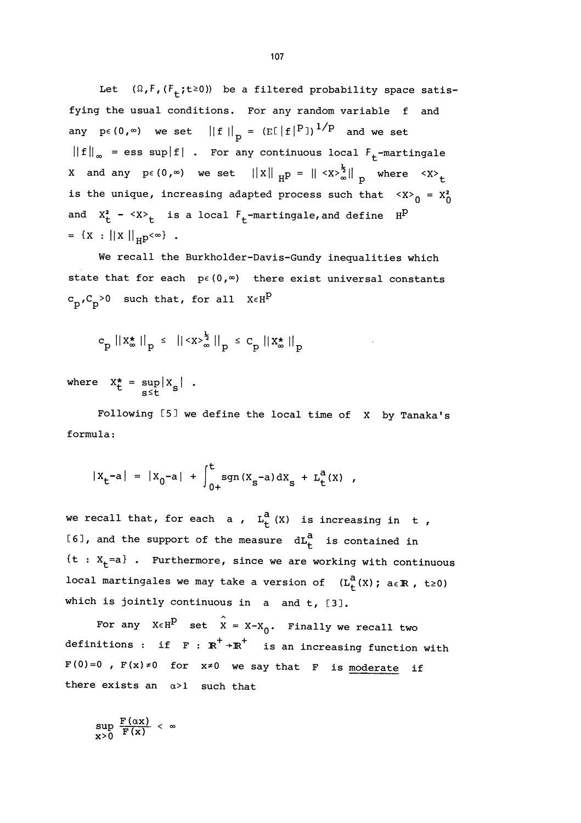Let  $(\Omega, F, (F_+; t \ge 0))$  be a filtered probability space satisfying the usual conditions. For any random variable f and any  $p \in (0, \infty)$  we set  $||f||_p = (E[|f|^p])^{1/p}$  and we set  $||f||_{\infty}$  = ess sup | f| . For any continuous local  $F_{+}$ -martingale X and any  $p \in (0, \infty)$  we set  $||x||_{H^{\text{p}}} = ||\langle x \rangle^{\frac{1}{2}}_{\infty}||_{p}$  where  $\langle x \rangle_{t}$ is the unique, increasing adapted process such that  $~{ _{0}}$  =  $x_{0}^{2}$ and  $X_t^2 - \langle X \rangle_t$  is a local  $F_t$ -martingale, and define  $H^D$  $= {X : ||X||_{H}p<\infty}$ .

We recall the Burkholder-Davis-Gundy inequalities which state that for each  $p \in (0, \infty)$  there exist universal constants  $c_p, C_p > 0$  such that, for all  $X \in H^p$ 

$$
c_p ||x_{\infty}^*||_p \le ||\langle x \rangle_{\infty}^{\frac{1}{2}}||_p \le c_p ||x_{\infty}^*||_p
$$

where  $X_t^* = \sup_{s \le t} |X_s|$ .

Following [5J we define the local time of X by Tanaka's formula:

$$
|x_{t} - a| = |x_{0} - a| + \int_{0+}^{t} sgn(x_{s} - a) dx_{s} + L_{t}^{a}(x) ,
$$

we recall that, for each a ,  $L_{+}^{a}$  (X) is increasing in t, [6], and the support of the measure  $dL_f^a$  is contained in  ${t : X_t=a}$  . Furthermore, since we are working with continuous local martingales we may take a version of  $(L_f^{\tilde{a}}(X); a \in \mathbb{R}$ , t≥0) which is jointly continuous in a and t, [3].

For any  $X \in H^P$  set  $\hat{X} = X - X_0$ . Finally we recall two definitions : if  $F : \mathbb{R}^+ \rightarrow \mathbb{R}^+$  is an increasing function with  $F(0)=0$  ,  $F(x) \ne 0$  for  $x \ne 0$  we say that F is moderate if there exists an  $\alpha > 1$  such that

$$
\sup_{x>0} \frac{F(\alpha x)}{F(x)} < \infty
$$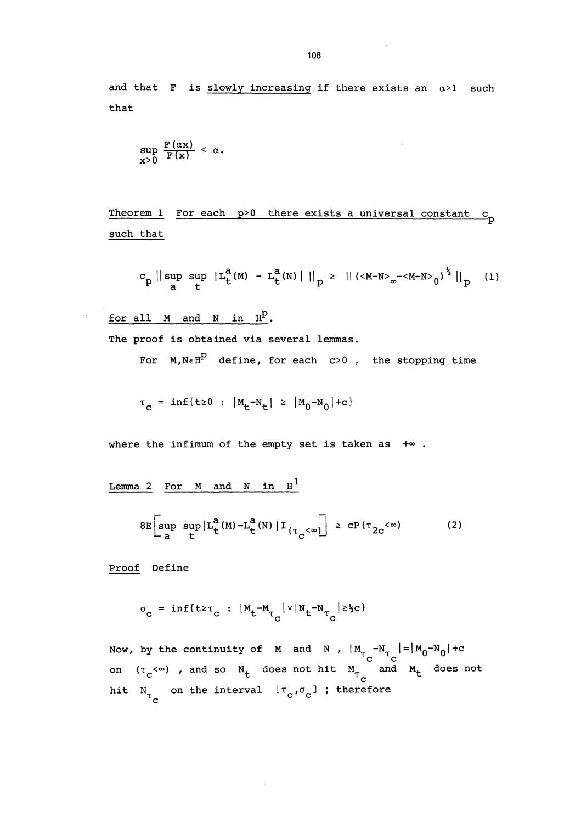and that F is  $slowly$  increasing if there exists an  $\alpha > 1$  such that

$$
\sup_{x>0} \frac{F(\alpha x)}{F(x)} < \alpha.
$$

Theorem 1 For each  $p>0$  there exists a universal constant  $c_p$ such that

$$
c_p \mid \mid \sup_{a} \sup_{t} \mid L_t^a(M) - L_t^a(N) \mid \mid \mid_p \mid \quad \text{if} \quad (M-N)_{\infty} - \text{if} \quad N > 0 \mid \quad \text{if} \quad (1)
$$

for all  $M$  and  $N$  in  $H^D$ .

The proof is obtained via several lemmas.

For  $M$ ,  $N \in H^{\rho}$  define, for each c>0, the stopping time

 $\tau_c = inf\{t \ge 0 : |M_t - N_t| \ge |M_0 - N_0| + c\}$ 

where the infimum of the empty set is taken as  $+\infty$ .

Lemma 2 For  $M$  and  $N$  in  $H<sup>1</sup>$ 

$$
8E\left[\sup_{a} \sup_{t} |L_{t}^{a}(M) - L_{t}^{a}(N)| I_{(\tau_{C} < \infty)}\right] \geq cP(\tau_{2C} < \infty) \tag{2}
$$

Proof Define

$$
\sigma_{\mathbf{C}} = \inf \{ t \ge \tau_{\mathbf{C}} : \| \mathbf{M}_{\mathbf{C}} - \mathbf{M}_{\tau_{\mathbf{C}}} \| \mathbf{V} \| \mathbf{N}_{\mathbf{C}} - \mathbf{N}_{\tau_{\mathbf{C}}} \| \ge \frac{1}{2} \mathbf{C} \}
$$

Now, by the continuity of  $M$  and  $N$  ,  $|M_{T_{\rm c}}-N_{T_{\rm c}}|$ on ( $\tau_c^{<\infty}$ ) , and so  $N_t$  does not hit  $M_{\tau_c}$  and  $M_t$  does not hit  $N_{T_{\alpha}}$  on the interval  $[\tau_{\alpha}, \sigma_{\alpha}]$ ; therefore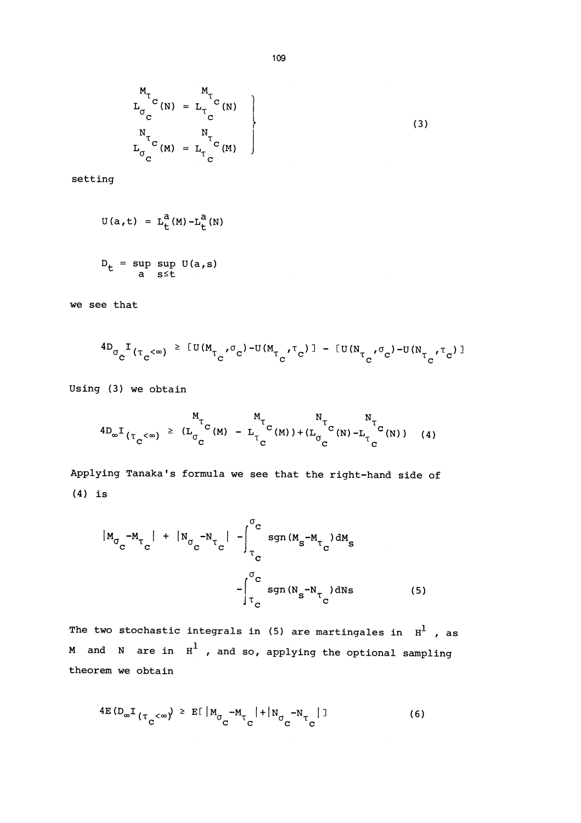$$
L_{\sigma_C}^{M_{\tau_C}(N)} = L_{\tau_C}^{M_{\tau_C}(N)}
$$
\n
$$
L_{\sigma_C}^{N_{\tau_C}(N)} = L_{\tau_C}^{N_{\tau_C}(N)}
$$
\n(3)

setting

$$
U(a, t) = L_t^a(M) - L_t^a(N)
$$
  

$$
D_t = \sup_{a} \sup_{s \le t} U(a, s)
$$

we see that

$$
^{4D}\sigma_{\check{C}}^{\ \ I}(\tau_{c}^{\ \ <\omega})\ ^{\ge\ [U(M_{\tau_{c}}^{\ \sigma})^{-U(M_{\tau_{c}}^{\ \tau_{c}})}] -\ [U(N_{\tau_{c}}^{\ \sigma})^{-U(N_{\tau_{c}}^{\ \tau_{c}})}] }
$$

Using (3) we obtain

$$
^{4D_{\infty}I}(\tau_{C}^{<\infty}) \stackrel{\text{M}_{\tau}}{=} (L_{\sigma_{C}^{C}}^{M_{\tau}C}(M) - L_{\tau_{C}^{C}}^{M_{\tau}C}(M)) + (L_{\sigma_{C}^{C}}^{N_{\tau}C}(N) - L_{\tau_{C}^{C}}^{N_{\tau}C}(N))
$$
(4)

Applying Tanaka's formula we see that the right-hand side of (4) is

$$
|M_{\sigma_{\rm C}} - M_{\tau_{\rm C}}| + |N_{\sigma_{\rm C}} - N_{\tau_{\rm C}}| - \int_{\tau_{\rm C}}^{\sigma_{\rm C}} \text{sgn}(M_{\rm s} - M_{\tau_{\rm C}}) dM_{\rm s}
$$

$$
- \int_{\tau_{\rm C}}^{\sigma_{\rm C}} \text{sgn}(N_{\rm s} - N_{\tau_{\rm C}}) dN_{\rm s}
$$
(5)

The two stochastic integrals in (5) are martingales in  $H^1$ , as  $M$  and  $N$  are in  $H^1$  , and so, applying the optional sampling theorem we obtain

$$
4E(D_{\infty}I_{(\tau_{\mathbf{C}}<\infty}) \geq E[\vert M_{\sigma_{\mathbf{C}}}-M_{\tau_{\mathbf{C}}} \vert + \vert N_{\sigma_{\mathbf{C}}}-N_{\tau_{\mathbf{C}}} \vert ]
$$
 (6)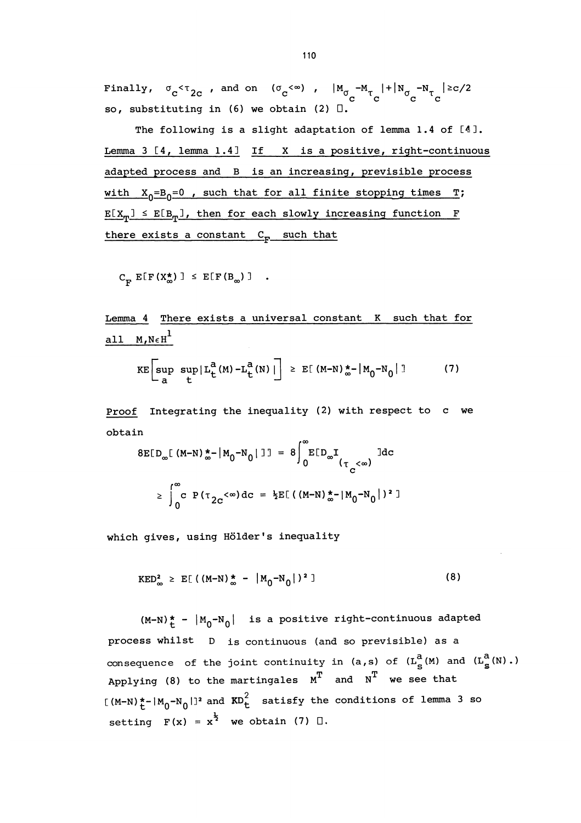Finally,  $\sigma_c<\tau_{2c}$ , and on  $(\sigma_c<\infty)$ ,  $|M_{\sigma_c}-M_{\tau_c}|+|N_{\sigma_c}-N_{\tau_c}| \geq c/2$ so, substituting in (6) we obtain (2) D.

The following is a slight adaptation of lemma 1.4 of [4J. Lemma  $3 [4, lemma 1.4]$  If X is a positive, right-continuous adapted process and B is an increasing, previsible process with  $X_{0} = B_{0} = 0$ , such that for all finite stopping times T;  $E[X_{T}] \leq E[B_{T}],$  then for each slowly increasing function F there exists a constant  $C_F$  such that

 $C_{\mathbf{F}}$  E[F(X<sup>\*</sup><sub>∞</sub>)]  $\leq$  E[F(B<sub>∞</sub>)] .

Lemma 4 There exists a universal constant K such that for all  $M, N \in H^1$ 

$$
KE\left[\sup_{a} \sup_{t} |L_{t}^{a}(M) - L_{t}^{a}(N)|\right] \geq E[(M-N)\frac{1}{\infty} - |M_{0} - N_{0}|]
$$
 (7)

Proof Integrating the inequality (2) with respect to c we obtain

$$
8E[D_{\infty}[(M-N)\frac{*}{\infty}||M_{0}-N_{0}||] = 8\int_{0}^{\infty}E[D_{\infty}I_{(\tau_{C}<\infty)}]dc
$$
  

$$
\geq \int_{0}^{\infty}C P(\tau_{2C}<\infty)dc = \frac{1}{2}E[((M-N)\frac{*}{\infty}-|M_{0}-N_{0}|)^{2}]
$$

which gives, using Hölder's inequality

$$
KED_{\infty}^{2} \geq E[( (M-N)_{\infty}^{*} - |M_{0}-N_{0}|)^{2} ]
$$
 (8)

 $(M-N)^*$  -  $|M_0-N_0|$  is a positive right-continuous adapted process whilst D is continuous (and so previsible) as a consequence of the joint continuity in  $(a, s)$  of  $(L_S^{\tilde{a}}(M)$  and  $(L_S^{\tilde{a}}(N)$ .) Applying (8) to the martingales  $M^T$  and  $N^T$  we see that  $[(M-N)^* - [M_0 - N_0]]^2$  and  $KD_t^2$  satisfy the conditions of lemma 3 so setting  $F(x) = x^{\frac{1}{2}}$  we obtain (7)  $\Box$ .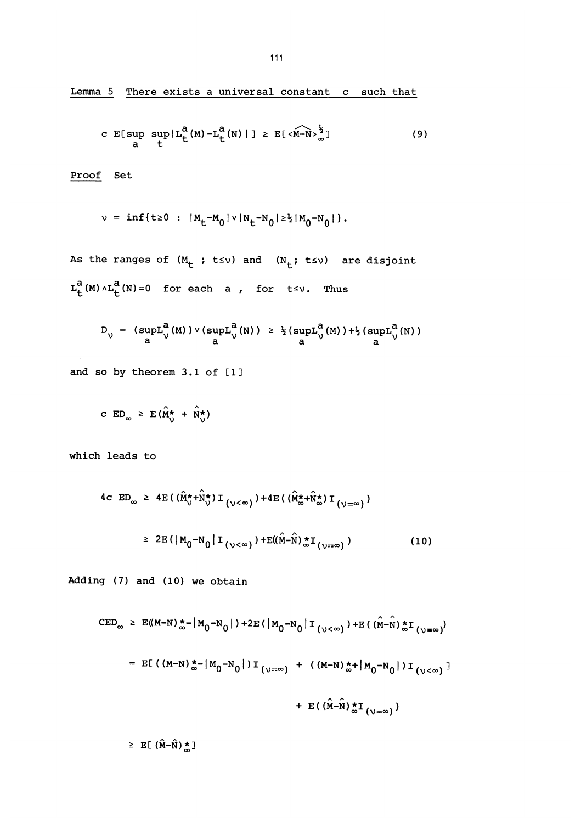Lemma 5 There exists a universal constant c such that

c E[sup 
$$
\sup_{a}
$$
  $\sup_{t} |L_{t}^{a}(M) - L_{t}^{a}(N)|] \ge E[\langle M-N \rangle_{\infty}^{\frac{1}{2}}]$  (9)

Proof Set

$$
v = inf\{t \ge 0 : |M_t - M_0| v |N_t - N_0| \ge \frac{1}{2} |M_0 - N_0| \}.
$$

As the ranges of  $(M_t; t \le v)$  and  $(N_t; t \le v)$  are disjoint  $L_t^a(M) \wedge L_t^a(N) = 0$  for each a, for  $t \le v$ . Thus

$$
D_{\mathcal{V}} = (\sup_{a} L_{\mathcal{V}}^{\mathbf{a}}(M)) \vee (\sup_{a} L_{\mathcal{V}}^{\mathbf{a}}(N)) \geq \frac{1}{2} (\sup_{a} L_{\mathcal{V}}^{\mathbf{a}}(M)) + \frac{1}{2} (\sup_{a} L_{\mathcal{V}}^{\mathbf{a}}(N))
$$

and so by theorem  $3.1$  of  $[1]$ 

$$
\texttt{C} \quad \texttt{ED}_{\infty} \geq \texttt{E} \left( \hat{\mathbf{M}}_{\mathcal{V}}^{\star} + \hat{\mathbf{N}}_{\mathcal{V}}^{\star} \right)
$$

which leads to

4c ED<sub>$$
\infty
$$</sub>  $\geq$  4E( $(\hat{M}_{\circ}^{*} + \hat{N}_{\circ}^{*})$  I  $(\sqrt{<}\infty)$ ) + 4E( $(\hat{M}_{\infty}^{*} + \hat{N}_{\infty}^{*})$  I  $(\sqrt{=}\infty)$ )  
 $\geq$  2E( $|M_{0} - N_{0}|$  I  $(\sqrt{<}\infty)$ ) + E( $(\hat{M} - \hat{N}) \times I_{(\sqrt{<}\infty)}$ ) (10)

Adding (7) and (10) we obtain

 $\geq$  E[( $\hat{M}-\hat{N}$ ) $\frac{\star}{\infty}$ ]

$$
EED_{\infty} \geq E((M-N)\frac{*}{\infty} - |M_0 - N_0|) + 2E(|M_0 - N_0| I_{(\nu < \infty)}) + E((M-N)\frac{*}{\infty}I_{(\nu = \infty)})
$$
  
=  $E[(M-N)\frac{*}{\infty} - |M_0 - N_0|)I_{(\nu = \infty)} + ((M-N)\frac{*}{\infty} + |M_0 - N_0|)I_{(\nu < \infty)}]$   
+  $E((\hat{M}-\hat{N})\frac{*}{\infty}I_{(\nu = \infty)})$ 

 $\lambda$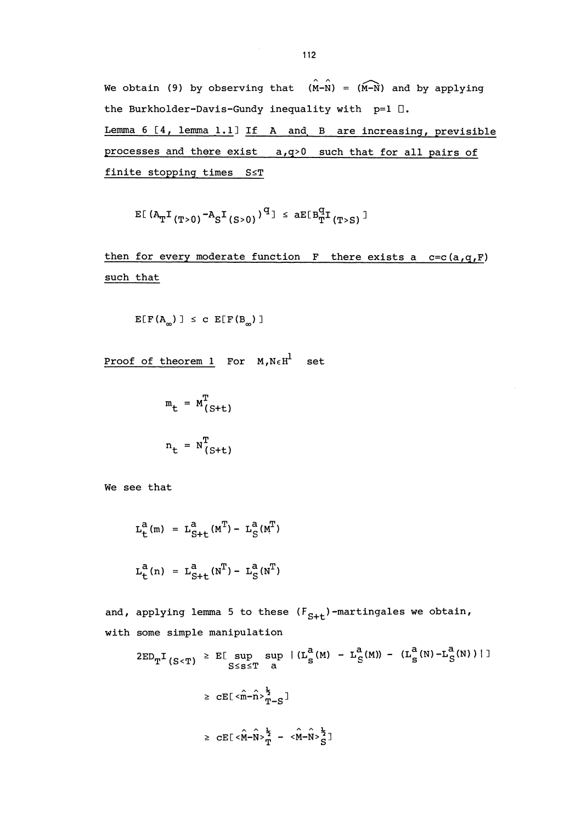We obtain (9) by observing that  $(\hat{M}-\hat{N}) = (\hat{M}-\hat{N})$  and by applying the Burkholder-Davis-Gundy inequality with  $p=1$   $\Box$ . Lemma 6 [4, lemma 1.1] If A and, B are increasing, previsible processes and there exist a,q>0 such that for all pairs of finite stopping times S<T

$$
E[(A_{T}I_{(T>0)}-A_{S}I_{(S>0)})^{q}] \leq aE[B_{T}^{q}I_{(T> S)}]
$$

then for every moderate function  $F$  there exists a  $c=c(a,q,F)$ such that

$$
E[F(A_{\infty})] \leq c E[F(B_{\infty})]
$$

Proof of theorem 1 For  $M, N \in H^1$  set

$$
m_{t} = M^{T}_{(S+t)}
$$

$$
n_{t} = N^{T}_{(S+t)}
$$

We see that

$$
L_{t}^{a}(m) = L_{S+t}^{a}(M^{T}) - L_{S}^{a}(M^{T})
$$
  

$$
L_{t}^{a}(n) = L_{S+t}^{a}(N^{T}) - L_{S}^{a}(N^{T})
$$

and, applying lemma 5 to these  $(F_{S+t})$ -martingales we obtain, with some simple manipulation

$$
2ED_{T}I_{(S  

$$
\geq CE[\langle \hat{m} - \hat{n} \rangle_{T-S}^{\frac{1}{2}}]
$$
  

$$
\geq CE[\langle \hat{M} - \hat{N} \rangle_{T}^{\frac{1}{2}} - \langle \hat{M} - \hat{N} \rangle_{S}^{\frac{1}{2}}]
$$
$$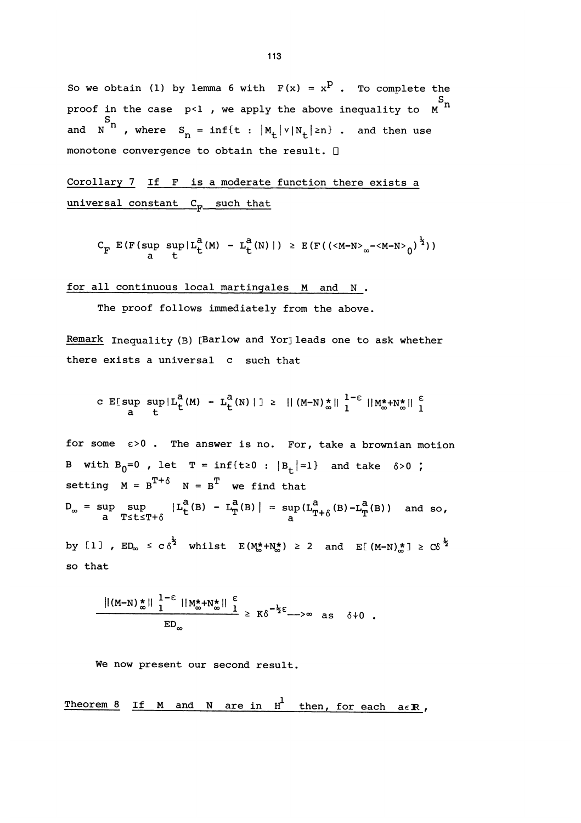So we obtain (1) by lemma 6 with  $F(x) = x^D$ . To complete the proof in the case p<1 , we apply the above inequality to  $\begin{smallmatrix} S & S \ S & \end{smallmatrix}$ and  $N^{S_n}$ , where  $S_n = inf\{t : |M_t| \vee |N_t| \ge n\}$ . and then use monotone convergence to obtain the result. D

Corollary 7 If F is a moderate function there exists a universal constant  $C_F$  such that

$$
C_F E(F(\sup_{a} \sup_{t} |L_t^{a}(M) - L_t^{a}(N) |) \ge E(F((_{\infty}-_{0})^{\frac{1}{2}}))
$$

for all continuous local martingales M and N .

The proof follows immediately from the above.

Remark Inequality (B) [Barlow and Yor] leads one to ask whether there exists a universal c such that

c E[sup 
$$
\sup_{a}
$$
  $\sup_{t} |L_{t}^{a}(M) - L_{t}^{a}(N) | ] \ge || (M-N)_{\infty}^{*} ||_{1}^{1-\epsilon} ||M_{\infty}^{*} + N_{\infty}^{*} ||_{1}^{\epsilon}$ 

for some  $\varepsilon > 0$ . The answer is no. For, take a brownian motion B with  $B_0=0$ , let  $T = inf{t \ge 0} : |B_+| = 1$  and take  $\delta > 0$ ; setting  $M = B^{T+\delta}$   $N = B^{T}$  we find that  $D_\infty\;=\;\sup\limits_{\substack{a\in T\leq t\leq T+\delta}}\;\left|\;L_t^a(\mathbf{B})\;-\;L_T^a(\mathbf{B})\;\right|\;=\;\sup\limits_{\substack{a}}\left(L_{T+\delta}^a(\mathbf{B})-L_T^a(\mathbf{B})\right)\quad\text{and so}\,,$ by [1],  $ED_{\infty} \leq C\delta^{\frac{1}{2}}$  whilst  $E(M_{\infty}^{*}+N_{\infty}^{*}) \geq 2$  and  $E[(M-N)_{\infty}^{*}] \geq C\delta^{\frac{1}{2}}$ so that

$$
\frac{\|(M-N)^{\star}\|_{1}^{1-\epsilon}\|M^{\star}_{\infty}+N^{\star}_{\infty}\|_{1}^{\epsilon}}{\mathrm{ED}_{\infty}} \geq K\delta^{-\frac{1}{2}\epsilon} \longrightarrow \infty \text{ as } \delta\downarrow 0.
$$

We now present our second result.

Theorem 8 If M and N are in 
$$
H^{\perp}
$$
 then, for each  $a \in \mathbb{R}$ ,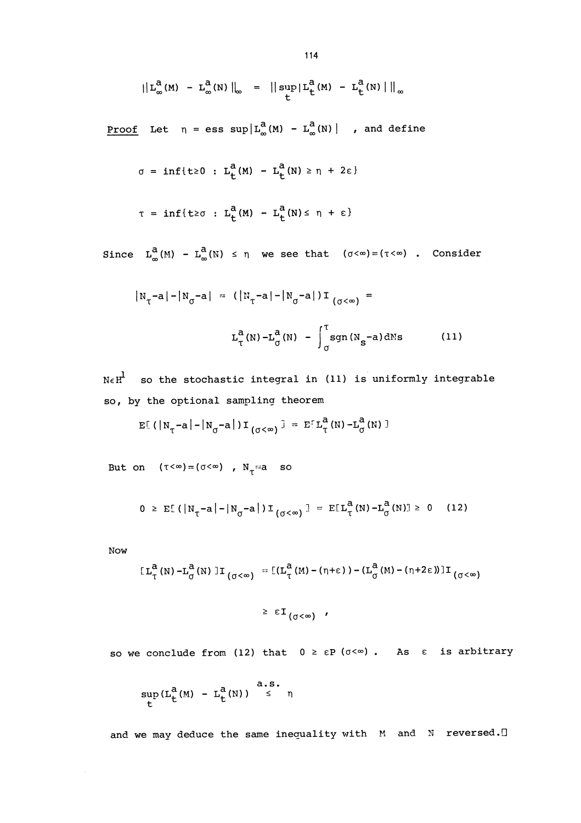$$
|| L_{\infty}^{a}(M) - L_{\infty}^{a}(N) ||_{\infty} = || sup_{L} | L_{L}^{a}(M) - L_{L}^{a}(N) ||_{\infty}
$$

Proof Let  $n = \text{ess sup} | L_{\infty}^{a}(M) - L_{\infty}^{a}(N) |$  , and define

$$
\sigma = \inf\{t \geq 0 : L_t^a(M) - L_t^a(N) \geq \eta + 2\varepsilon\}
$$

$$
\tau = \inf\{t \geq \sigma : L_t^a(M) - L_t^a(N) \leq \eta + \varepsilon\}
$$

Since  $L_{\infty}^{a}(M) - L_{\infty}^{a}(N) \leq \eta$  we see that  $(\sigma < \infty) = (\tau < \infty)$  . Consider

$$
|N_{\tau} - a| - |N_{\sigma} - a| = (|N_{\tau} - a| - |N_{\sigma} - a|)I_{(\sigma < \infty)} =
$$
  

$$
L_{\tau}^{a}(N) - L_{\sigma}^{a}(N) - \int_{\sigma}^{T} sgn(N_{s} - a) dNs
$$
 (11)

 $N \in H^1$  so the stochastic integral in (11) is uniformly integrable so, by the optional sampling theorem

$$
\mathbb{E}[(|N_{\tau}-a|-|N_{\sigma}-a|)T_{(\sigma<\infty)}] = \mathbb{E}[L_{\tau}^{a}(N)-L_{\sigma}^{a}(N)]
$$

But on  $(\tau < \infty) = (\sigma < \infty)$ ,  $N_{\tau} = a$  so

$$
0 \geq E[(|N_{\tau} - a| - |N_{\sigma} - a|) I_{(\sigma < \infty)}] = E[L_{\tau}^{a}(N) - L_{\sigma}^{a}(N)] \geq 0 \quad (12)
$$

Now

$$
[L^{\mathbf{a}}_{\tau}(N) - L^{\mathbf{a}}_{\sigma}(N)] \mathbf{I}_{(\sigma < \infty)} = [(L^{\mathbf{a}}_{\tau}(M) - (\eta + \epsilon)) - (L^{\mathbf{a}}_{\sigma}(M) - (\eta + 2\epsilon))] \mathbf{I}_{(\sigma < \infty)}
$$

 $\geq \varepsilon I_{(\sigma<\infty)}$  '

so we conclude from (12) that  $0 \geq \varepsilon P$  ( $\sigma < \infty$ ). As  $\varepsilon$  is arbitrary

$$
\sup_{t} (L_t^a(\mathbb{M}) - L_t^a(\mathbb{N})) \overset{a.s.}{\leq} \eta
$$

and we may deduce the same inequality with M and N reversed.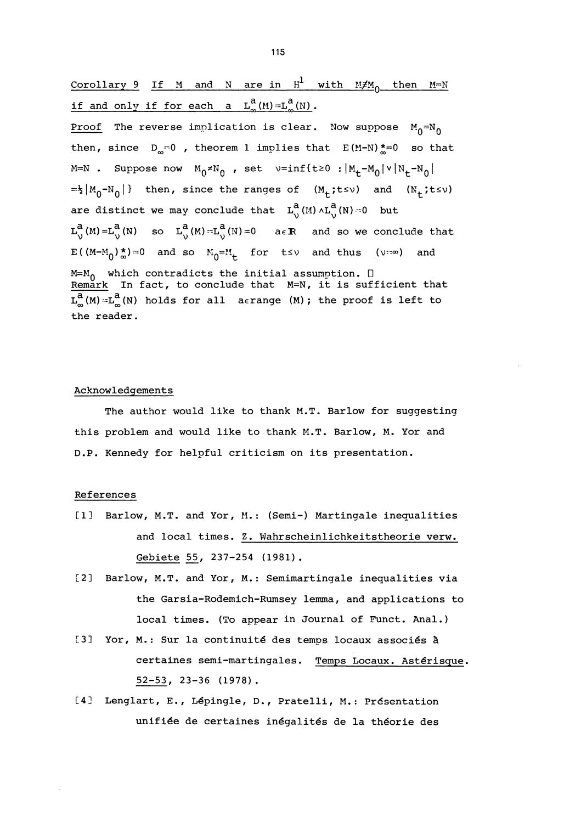Corollary 9 If M and N are in  $H^1$  with  $M \not\equiv M_0$  then  $M=N$ if and only if for each a  $L_{\infty}^{a}(M) = L_{\infty}^{a}(N)$ .

Proof The reverse implication is clear. Now suppose  $M_0 = N_0$ then, since  $D_m = 0$ , theorem 1 implies that  $E(M-N) \stackrel{*}{\sim} = 0$  so that  $M=N$  . Suppose now  $M_0 \neq N_0$  , set  $v=inf\{t\geq 0 : |M_t-M_0| \vee |N_t-N_0|\}$  $t=\frac{1}{2}|M_0-N_0|$  then, since the ranges of  $(M_+; t \le v)$  and  $(N_+; t \le v)$ are distinct we may conclude that  $L_0^a(M) \wedge L_0^a(N) \cap 0$  but  $L_0^a(M) = L_0^a(N)$  so  $L_0^a(M) = L_0^a(N) = 0$  a $\in \mathbb{R}$  and so we conclude that  $E((M-M_0)_\infty^*)=0$  and so  $M_0=M_+$  for  $t\leq v$  and thus (v:so) and M=M<sub>O</sub> which contradicts the initial assumption. □<br><u>Remark</u> In fact, to conclude that M=N, it is sufficient that  $\overline{\mathrm{L}}_{\infty}^{a}(M) = \mathrm{L}_{\infty}^{a}(N)$  holds for all aerange  $(M)$ ; the proof is left to the reader.

#### Acknowledgements

The author would like to thank M.T. Barlow for suggesting this problem and would like to thank M.T. Barlow, M. Yor and D.P. Kennedy for helpful criticism on its presentation.

### References

- [1] Barlow, M.T. and Yor, M.: (Semi-) Martingale inequalities and local times. Z. Wahrscheinlichkeitstheorie verw. Gebiete 55, 237-254 (1981).
- [2] Barlow, M.T. and Yor, M.: Semimartingale inequalities via the Garsia-Rodemich-Rumsey lemma, and applications to local times. (To appear in Journal of Funct. Anal.)
- [3] Yor, M.: Sur la continuité des temps locaux associés à certaines semi-martingales. Temps Locaux. Astérisque. 52-53, 23-36 (1978).
- [4] Lenglart, E., Lépingle, D., Pratelli, M.: Présentation unifiée de certaines inégalités de la théorie des